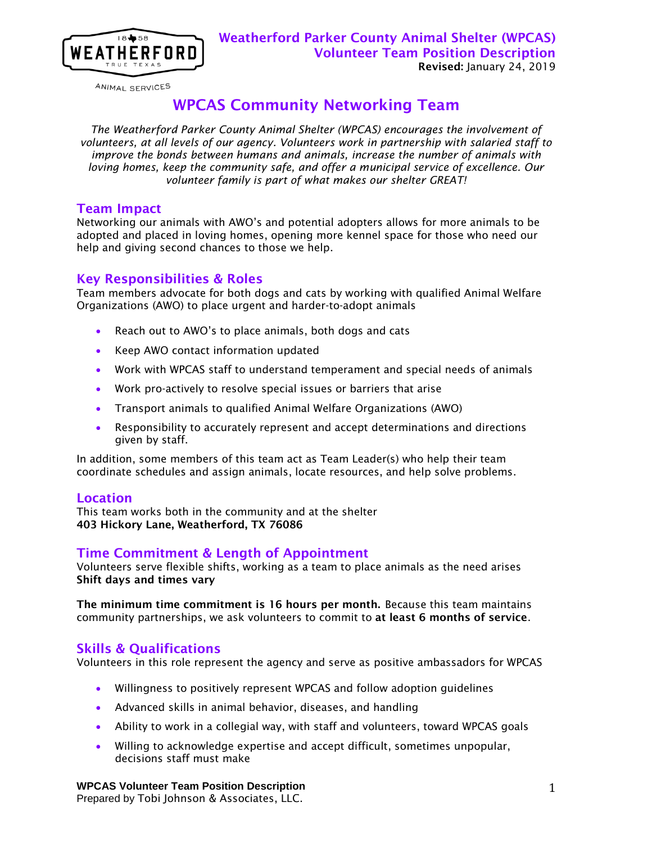

ANIMAL SERVICES

# WPCAS Community Networking Team

*The Weatherford Parker County Animal Shelter (WPCAS) encourages the involvement of volunteers, at all levels of our agency. Volunteers work in partnership with salaried staff to improve the bonds between humans and animals, increase the number of animals with loving homes, keep the community safe, and offer a municipal service of excellence. Our volunteer family is part of what makes our shelter GREAT!*

### Team Impact

Networking our animals with AWO's and potential adopters allows for more animals to be adopted and placed in loving homes, opening more kennel space for those who need our help and giving second chances to those we help.

### Key Responsibilities & Roles

Team members advocate for both dogs and cats by working with qualified Animal Welfare Organizations (AWO) to place urgent and harder-to-adopt animals

- Reach out to AWO's to place animals, both dogs and cats
- Keep AWO contact information updated
- Work with WPCAS staff to understand temperament and special needs of animals
- Work pro-actively to resolve special issues or barriers that arise
- Transport animals to qualified Animal Welfare Organizations (AWO)
- Responsibility to accurately represent and accept determinations and directions given by staff.

In addition, some members of this team act as Team Leader(s) who help their team coordinate schedules and assign animals, locate resources, and help solve problems.

#### Location

This team works both in the community and at the shelter 403 Hickory Lane, Weatherford, TX 76086

### Time Commitment & Length of Appointment

Volunteers serve flexible shifts, working as a team to place animals as the need arises Shift days and times vary

The minimum time commitment is 16 hours per month. Because this team maintains community partnerships, we ask volunteers to commit to at least 6 months of service.

### Skills & Qualifications

Volunteers in this role represent the agency and serve as positive ambassadors for WPCAS

- Willingness to positively represent WPCAS and follow adoption guidelines
- Advanced skills in animal behavior, diseases, and handling
- Ability to work in a collegial way, with staff and volunteers, toward WPCAS goals
- Willing to acknowledge expertise and accept difficult, sometimes unpopular, decisions staff must make

#### **WPCAS Volunteer Team Position Description**

Prepared by Tobi Johnson & Associates, LLC.